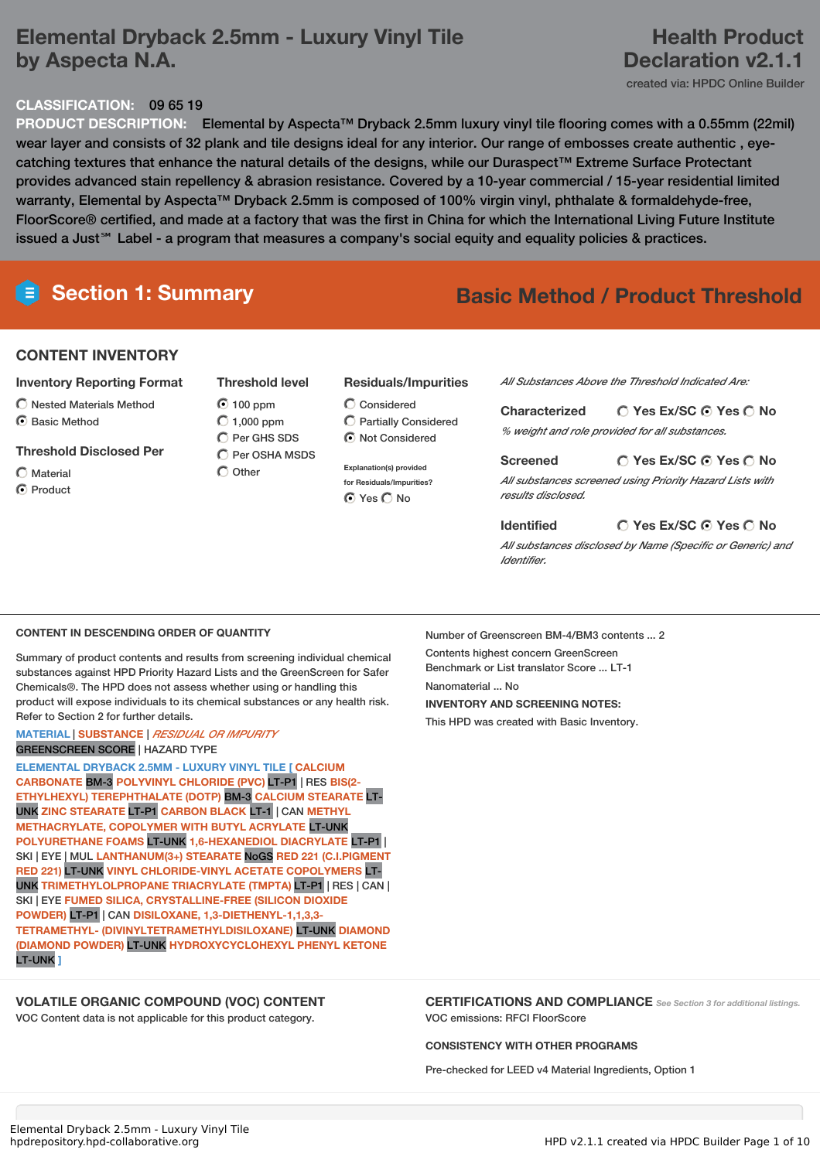# **Elemental Dryback 2.5mm - Luxury Vinyl Tile by Aspecta N.A.**

## **Health Product Declaration v2.1.1**

created via: HPDC Online Builder

### **CLASSIFICATION:** 09 65 19

**PRODUCT DESCRIPTION:** Elemental by Aspecta™ Dryback 2.5mm luxury vinyl tile flooring comes with a 0.55mm (22mil) wear layer and consists of 32 plank and tile designs ideal for any interior. Our range of embosses create authentic , eyecatching textures that enhance the natural details of the designs, while our Duraspect™ Extreme Surface Protectant provides advanced stain repellency & abrasion resistance. Covered by a 10-year commercial / 15-year residential limited warranty, Elemental by Aspecta™ Dryback 2.5mm is composed of 100% virgin vinyl, phthalate & formaldehyde-free, FloorScore® certified, and made at a factory that was the first in China for which the International Living Future Institute issued a Just℠ Label - a program that measures a company's social equity and equality policies & practices.

# **Section 1: Summary Basic Method / Product Threshold**

### **CONTENT INVENTORY**

- **Inventory Reporting Format**
- Nested Materials Method
- ◯ Basic Method
- **Threshold Disclosed Per**
- $\bigcap$  Material C Product
- **Threshold level**  $O$  100 ppm
- $\bigcirc$  1,000 ppm C Per GHS SDS  $\bigcirc$  Per OSHA MSDS  $\bigcirc$  Other
- **Residuals/Impurities**
- Considered Partially Considered  $\bigcirc$  Not Considered
- **Explanation(s) provided for Residuals/Impurities?** ⊙ Yes O No

*All Substances Above the Threshold Indicated Are:*

| <b>Characterized</b> | $\bigcirc$ Yes Ex/SC $\bigcirc$ Yes $\bigcirc$ No |
|----------------------|---------------------------------------------------|
|                      | % weight and role provided for all substances.    |

**Yes Ex/SC Yes No Screened** *All substances screened using Priority Hazard Lists with results disclosed.*

#### **Yes Ex/SC Yes No Identified**

*All substances disclosed by Name (Specific or Generic) and Identifier.*

#### **CONTENT IN DESCENDING ORDER OF QUANTITY**

Summary of product contents and results from screening individual chemical substances against HPD Priority Hazard Lists and the GreenScreen for Safer Chemicals®. The HPD does not assess whether using or handling this product will expose individuals to its chemical substances or any health risk. Refer to Section 2 for further details.

#### **MATERIAL** | **SUBSTANCE** | *RESIDUAL OR IMPURITY* GREENSCREEN SCORE | HAZARD TYPE

**ELEMENTAL DRYBACK 2.5MM - LUXURY VINYL TILE [ CALCIUM CARBONATE** BM-3 **POLYVINYL CHLORIDE (PVC)** LT-P1 | RES **BIS(2- ETHYLHEXYL) TEREPHTHALATE (DOTP)** BM-3 **CALCIUM STEARATE** LT-UNK **ZINC STEARATE** LT-P1 **CARBON BLACK** LT-1 | CAN **METHYL METHACRYLATE, COPOLYMER WITH BUTYL ACRYLATE** LT-UNK **POLYURETHANE FOAMS** LT-UNK **1,6-HEXANEDIOL DIACRYLATE** LT-P1 | SKI | EYE | MUL **LANTHANUM(3+) STEARATE** NoGS **RED 221 (C.I.PIGMENT RED 221)** LT-UNK **VINYL CHLORIDE-VINYL ACETATE COPOLYMERS** LT-UNK **TRIMETHYLOLPROPANE TRIACRYLATE (TMPTA)** LT-P1 | RES | CAN | SKI | EYE **FUMED SILICA, CRYSTALLINE-FREE (SILICON DIOXIDE POWDER)** LT-P1 | CAN **DISILOXANE, 1,3-DIETHENYL-1,1,3,3- TETRAMETHYL- (DIVINYLTETRAMETHYLDISILOXANE)** LT-UNK **DIAMOND (DIAMOND POWDER)** LT-UNK **HYDROXYCYCLOHEXYL PHENYL KETONE** LT-UNK **]**

### **VOLATILE ORGANIC COMPOUND (VOC) CONTENT**

VOC Content data is not applicable for this product category.

Number of Greenscreen BM-4/BM3 contents ... 2 Contents highest concern GreenScreen Benchmark or List translator Score ... LT-1 Nanomaterial No. **INVENTORY AND SCREENING NOTES:** This HPD was created with Basic Inventory.

**CERTIFICATIONS AND COMPLIANCE** *See Section <sup>3</sup> for additional listings.* VOC emissions: RFCI FloorScore

#### **CONSISTENCY WITH OTHER PROGRAMS**

Pre-checked for LEED v4 Material Ingredients, Option 1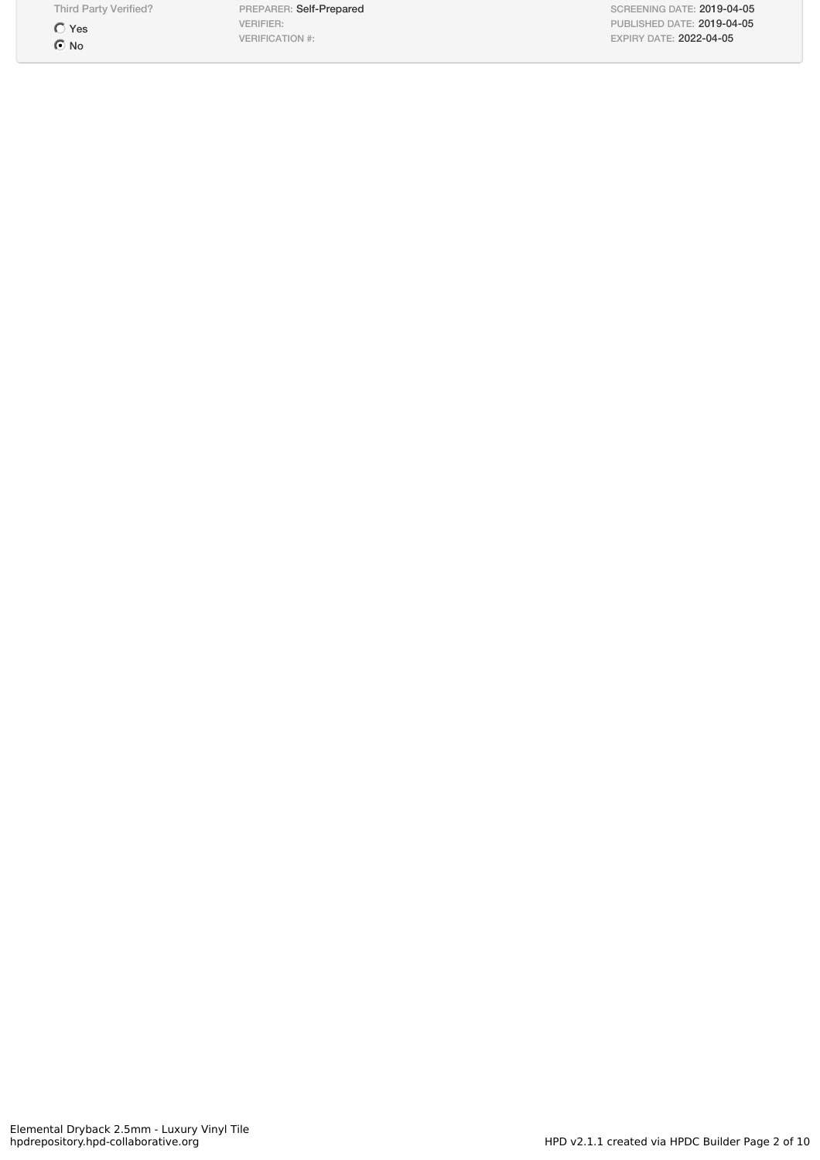Third Party Verified?

 $\bigcirc$  Yes  $\odot$  No

PREPARER: Self-Prepared VERIFIER: VERIFICATION #:

SCREENING DATE: 2019-04-05 PUBLISHED DATE: 2019-04-05 EXPIRY DATE: 2022-04-05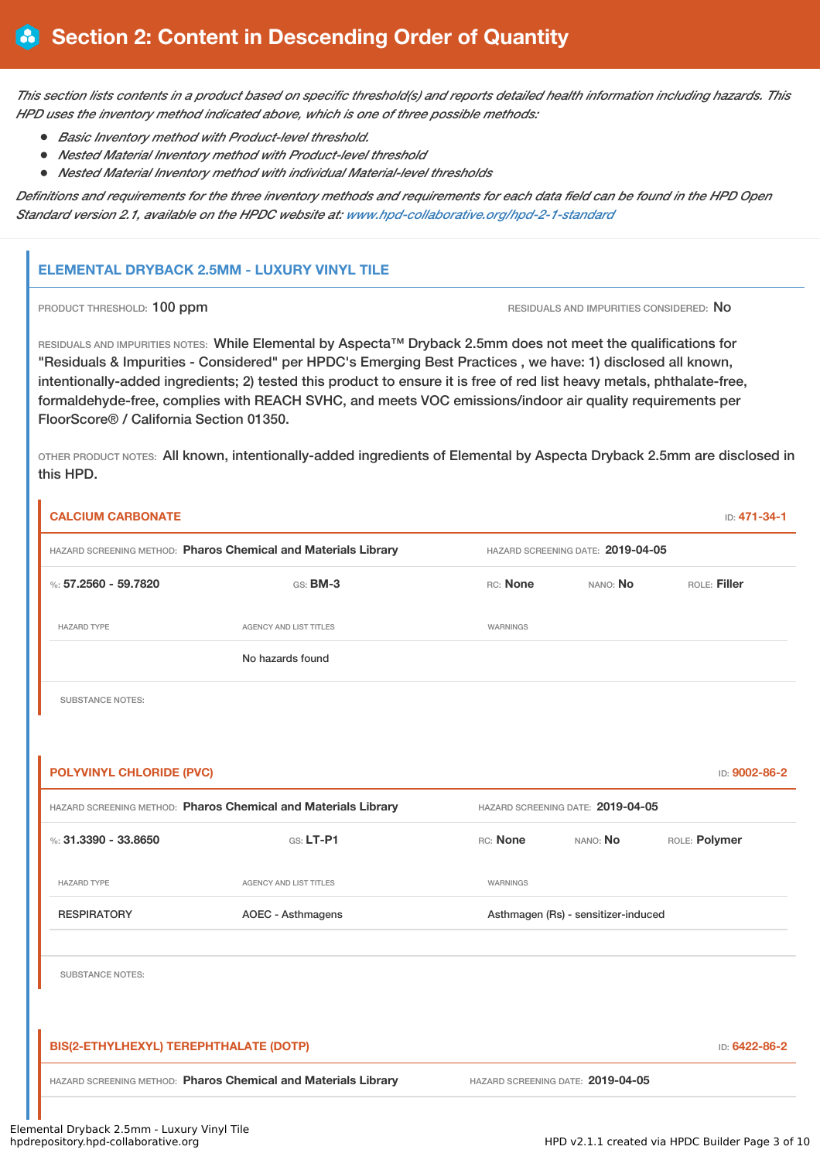This section lists contents in a product based on specific threshold(s) and reports detailed health information including hazards. This *HPD uses the inventory method indicated above, which is one of three possible methods:*

- *Basic Inventory method with Product-level threshold.*
- *Nested Material Inventory method with Product-level threshold*
- *Nested Material Inventory method with individual Material-level thresholds*

Definitions and requirements for the three inventory methods and requirements for each data field can be found in the HPD Open *Standard version 2.1, available on the HPDC website at: [www.hpd-collaborative.org/hpd-2-1-standard](http://www.hpd-collaborative.org/hpd-2-1-standard)*

### **ELEMENTAL DRYBACK 2.5MM - LUXURY VINYL TILE**

PRODUCT THRESHOLD: 100 ppm **RESIDUALS AND IMPURITIES CONSIDERED:** No

RESIDUALS AND IMPURITIES NOTES: While Elemental by Aspecta™ Dryback 2.5mm does not meet the qualifications for "Residuals & Impurities - Considered" per HPDC's Emerging Best Practices , we have: 1) disclosed all known, intentionally-added ingredients; 2) tested this product to ensure it is free of red list heavy metals, phthalate-free, formaldehyde-free, complies with REACH SVHC, and meets VOC emissions/indoor air quality requirements per FloorScore® / California Section 01350.

OTHER PRODUCT NOTES: All known, intentionally-added ingredients of Elemental by Aspecta Dryback 2.5mm are disclosed in this HPD.

| <b>CALCIUM CARBONATE</b>               |                                                                |          |                                     | ID: 471-34-1  |
|----------------------------------------|----------------------------------------------------------------|----------|-------------------------------------|---------------|
|                                        | HAZARD SCREENING METHOD: Pharos Chemical and Materials Library |          | HAZARD SCREENING DATE: 2019-04-05   |               |
| %: 57.2560 - 59.7820                   | GS: BM-3                                                       | RC: None | NANO: No                            | ROLE: Filler  |
| <b>HAZARD TYPE</b>                     | <b>AGENCY AND LIST TITLES</b>                                  | WARNINGS |                                     |               |
|                                        | No hazards found                                               |          |                                     |               |
| <b>SUBSTANCE NOTES:</b>                |                                                                |          |                                     |               |
|                                        |                                                                |          |                                     |               |
| <b>POLYVINYL CHLORIDE (PVC)</b>        |                                                                |          |                                     | ID: 9002-86-2 |
|                                        | HAZARD SCREENING METHOD: Pharos Chemical and Materials Library |          | HAZARD SCREENING DATE: 2019-04-05   |               |
| %: $31.3390 - 33.8650$                 | GS: LT-P1                                                      | RC: None | NANO: No                            | ROLE: Polymer |
| <b>HAZARD TYPE</b>                     | AGENCY AND LIST TITLES                                         | WARNINGS |                                     |               |
| <b>RESPIRATORY</b>                     | <b>AOEC - Asthmagens</b>                                       |          | Asthmagen (Rs) - sensitizer-induced |               |
| <b>SUBSTANCE NOTES:</b>                |                                                                |          |                                     |               |
| BIS(2-ETHYLHEXYL) TEREPHTHALATE (DOTP) |                                                                |          |                                     | ID: 6422-86-2 |
|                                        | HAZARD SCREENING METHOD: Pharos Chemical and Materials Library |          | HAZARD SCREENING DATE: 2019-04-05   |               |
|                                        |                                                                |          |                                     |               |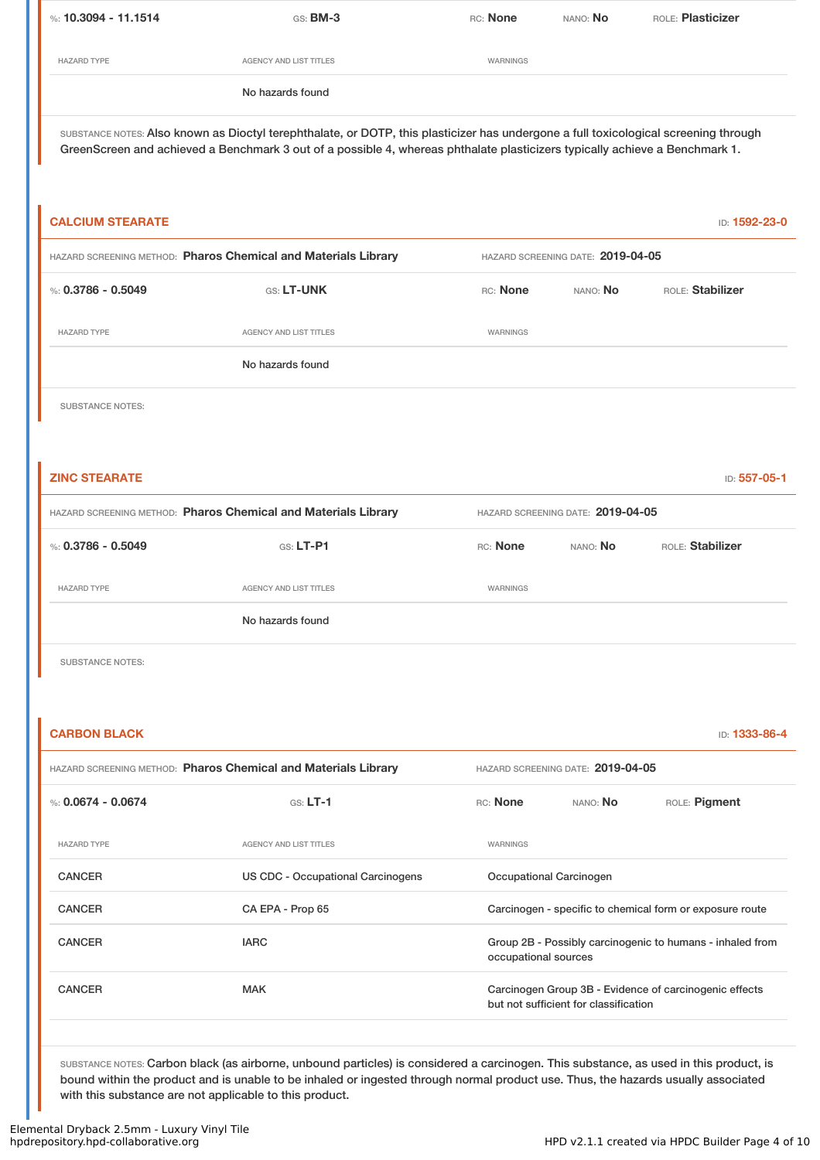| %: 10.3094 - 11.1514                                                                                                                         | $GS:$ BM-3             | RC: None | nano: <b>No</b> | ROLE: <b>Plasticizer</b> |  |
|----------------------------------------------------------------------------------------------------------------------------------------------|------------------------|----------|-----------------|--------------------------|--|
|                                                                                                                                              |                        |          |                 |                          |  |
| <b>HAZARD TYPE</b>                                                                                                                           | AGENCY AND LIST TITLES | WARNINGS |                 |                          |  |
|                                                                                                                                              | No hazards found       |          |                 |                          |  |
| and contract and the foreign of Maria Hampinghalatic comments of all the base of a continuated and the contract and all the contract the set |                        |          |                 |                          |  |

SUBSTANCE NOTES: Also known as Dioctyl terephthalate, or DOTP, this plasticizer has undergone a full toxicological screening through GreenScreen and achieved a Benchmark 3 out of a possible 4, whereas phthalate plasticizers typically achieve a Benchmark 1.

| <b>CALCIUM STEARATE</b>                                        |                               |                                   |          | ID: 1592-23-0    |  |
|----------------------------------------------------------------|-------------------------------|-----------------------------------|----------|------------------|--|
| HAZARD SCREENING METHOD: Pharos Chemical and Materials Library |                               | HAZARD SCREENING DATE: 2019-04-05 |          |                  |  |
| %: $0.3786 - 0.5049$                                           | GS: LT-UNK                    | RC: None                          | NANO: No | ROLE: Stabilizer |  |
| <b>HAZARD TYPE</b>                                             | <b>AGENCY AND LIST TITLES</b> | <b>WARNINGS</b>                   |          |                  |  |
|                                                                | No hazards found              |                                   |          |                  |  |
| <b>SUBSTANCE NOTES:</b>                                        |                               |                                   |          |                  |  |

| <b>ZINC STEARATE</b>                                           |                        |          |                                   | ID: 557-05-1     |  |
|----------------------------------------------------------------|------------------------|----------|-----------------------------------|------------------|--|
| HAZARD SCREENING METHOD: Pharos Chemical and Materials Library |                        |          | HAZARD SCREENING DATE: 2019-04-05 |                  |  |
| %: $0.3786 - 0.5049$                                           | $GS: LT-P1$            | RC: None | NANO: No                          | ROLE: Stabilizer |  |
| <b>HAZARD TYPE</b>                                             | AGENCY AND LIST TITLES | WARNINGS |                                   |                  |  |
|                                                                | No hazards found       |          |                                   |                  |  |
|                                                                |                        |          |                                   |                  |  |

SUBSTANCE NOTES:

| <b>CARBON BLACK</b>  |                                                                |                         |                                       | ID: 1333-86-4                                             |
|----------------------|----------------------------------------------------------------|-------------------------|---------------------------------------|-----------------------------------------------------------|
|                      | HAZARD SCREENING METHOD: Pharos Chemical and Materials Library |                         | HAZARD SCREENING DATE: 2019-04-05     |                                                           |
| %: $0.0674 - 0.0674$ | $GS: LT-1$                                                     | RC: None                | NANO: <b>No</b>                       | ROLE: Pigment                                             |
| <b>HAZARD TYPE</b>   | <b>AGENCY AND LIST TITLES</b>                                  | WARNINGS                |                                       |                                                           |
| <b>CANCER</b>        | US CDC - Occupational Carcinogens                              | Occupational Carcinogen |                                       |                                                           |
| <b>CANCER</b>        | CA EPA - Prop 65                                               |                         |                                       | Carcinogen - specific to chemical form or exposure route  |
| <b>CANCER</b>        | <b>IARC</b>                                                    | occupational sources    |                                       | Group 2B - Possibly carcinogenic to humans - inhaled from |
| <b>CANCER</b>        | <b>MAK</b>                                                     |                         | but not sufficient for classification | Carcinogen Group 3B - Evidence of carcinogenic effects    |
|                      |                                                                |                         |                                       |                                                           |

SUBSTANCE NOTES: Carbon black (as airborne, unbound particles) is considered a carcinogen. This substance, as used in this product, is bound within the product and is unable to be inhaled or ingested through normal product use. Thus, the hazards usually associated with this substance are not applicable to this product.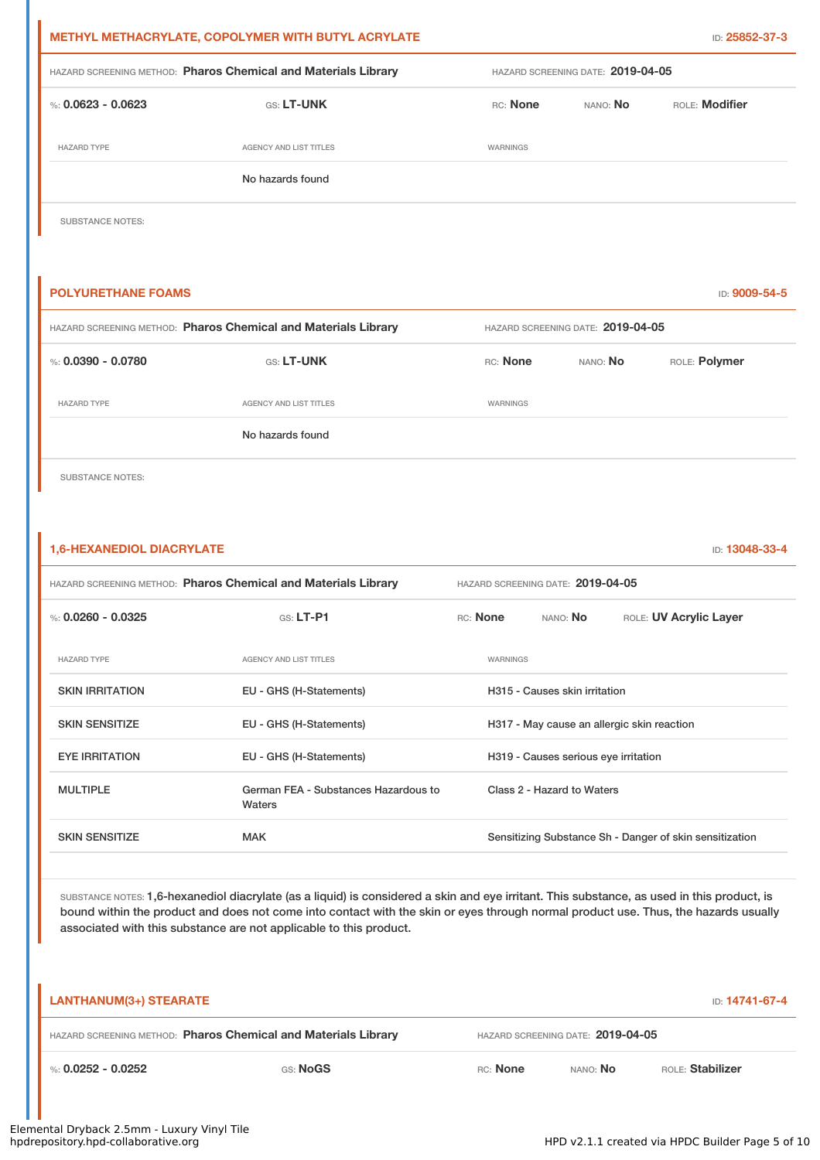| <b>METHYL METHACRYLATE, COPOLYMER WITH BUTYL ACRYLATE</b>      |                        |          |                                   | ID: 25852-37-3        |
|----------------------------------------------------------------|------------------------|----------|-----------------------------------|-----------------------|
| HAZARD SCREENING METHOD: Pharos Chemical and Materials Library |                        |          | HAZARD SCREENING DATE: 2019-04-05 |                       |
| %: 0.0623 - 0.0623                                             | <b>GS: LT-UNK</b>      | RC: None | NANO: <b>No</b>                   | <b>ROLE:</b> Modifier |
| <b>HAZARD TYPE</b>                                             | AGENCY AND LIST TITLES | WARNINGS |                                   |                       |
|                                                                | No hazards found       |          |                                   |                       |

SUBSTANCE NOTES:

| <b>POLYURETHANE FOAMS</b>                                      |                        |          |                                   | ID: 9009-54-5 |
|----------------------------------------------------------------|------------------------|----------|-----------------------------------|---------------|
| HAZARD SCREENING METHOD: Pharos Chemical and Materials Library |                        |          | HAZARD SCREENING DATE: 2019-04-05 |               |
| %: $0.0390 - 0.0780$                                           | GS: LT-UNK             | RC: None | NANO: No                          | ROLE: Polymer |
| <b>HAZARD TYPE</b>                                             | AGENCY AND LIST TITLES | WARNINGS |                                   |               |
|                                                                | No hazards found       |          |                                   |               |
|                                                                |                        |          |                                   |               |

SUBSTANCE NOTES:

#### **1,6-HEXANEDIOL DIACRYLATE** ID: **13048-33-4**

| <b>HAZARD SCREENING METHOD: Pharos Chemical and Materials Library</b> |                                                | HAZARD SCREENING DATE: 2019-04-05 |          |                                      |                                                         |
|-----------------------------------------------------------------------|------------------------------------------------|-----------------------------------|----------|--------------------------------------|---------------------------------------------------------|
| %: $0.0260 - 0.0325$                                                  | $G.S.$ LT-P1                                   |                                   | RC: None | NANO: No                             | ROLE: UV Acrylic Layer                                  |
| <b>HAZARD TYPE</b>                                                    | AGENCY AND LIST TITLES                         |                                   | WARNINGS |                                      |                                                         |
| <b>SKIN IRRITATION</b>                                                | EU - GHS (H-Statements)                        |                                   |          | H315 - Causes skin irritation        |                                                         |
| <b>SKIN SENSITIZE</b>                                                 | EU - GHS (H-Statements)                        |                                   |          |                                      | H317 - May cause an allergic skin reaction              |
| <b>EYE IRRITATION</b>                                                 | EU - GHS (H-Statements)                        |                                   |          | H319 - Causes serious eye irritation |                                                         |
| <b>MULTIPLE</b>                                                       | German FEA - Substances Hazardous to<br>Waters |                                   |          | Class 2 - Hazard to Waters           |                                                         |
| <b>SKIN SENSITIZE</b>                                                 | <b>MAK</b>                                     |                                   |          |                                      | Sensitizing Substance Sh - Danger of skin sensitization |

SUBSTANCE NOTES: 1,6-hexanediol diacrylate (as a liquid) is considered a skin and eye irritant. This substance, as used in this product, is bound within the product and does not come into contact with the skin or eyes through normal product use. Thus, the hazards usually associated with this substance are not applicable to this product.

| <b>LANTHANUM(3+) STEARATE</b>                                  |                 |          |                                     | <b>ID: 14741-67-4</b> |  |
|----------------------------------------------------------------|-----------------|----------|-------------------------------------|-----------------------|--|
| HAZARD SCREENING METHOD: Pharos Chemical and Materials Library |                 |          | HAZARD SCREENING DATE: 2019-04-05   |                       |  |
| %: 0.0252 - 0.0252                                             | <b>GS: NoGS</b> | RC: None | <b>ROLE: Stabilizer</b><br>NANO: NO |                       |  |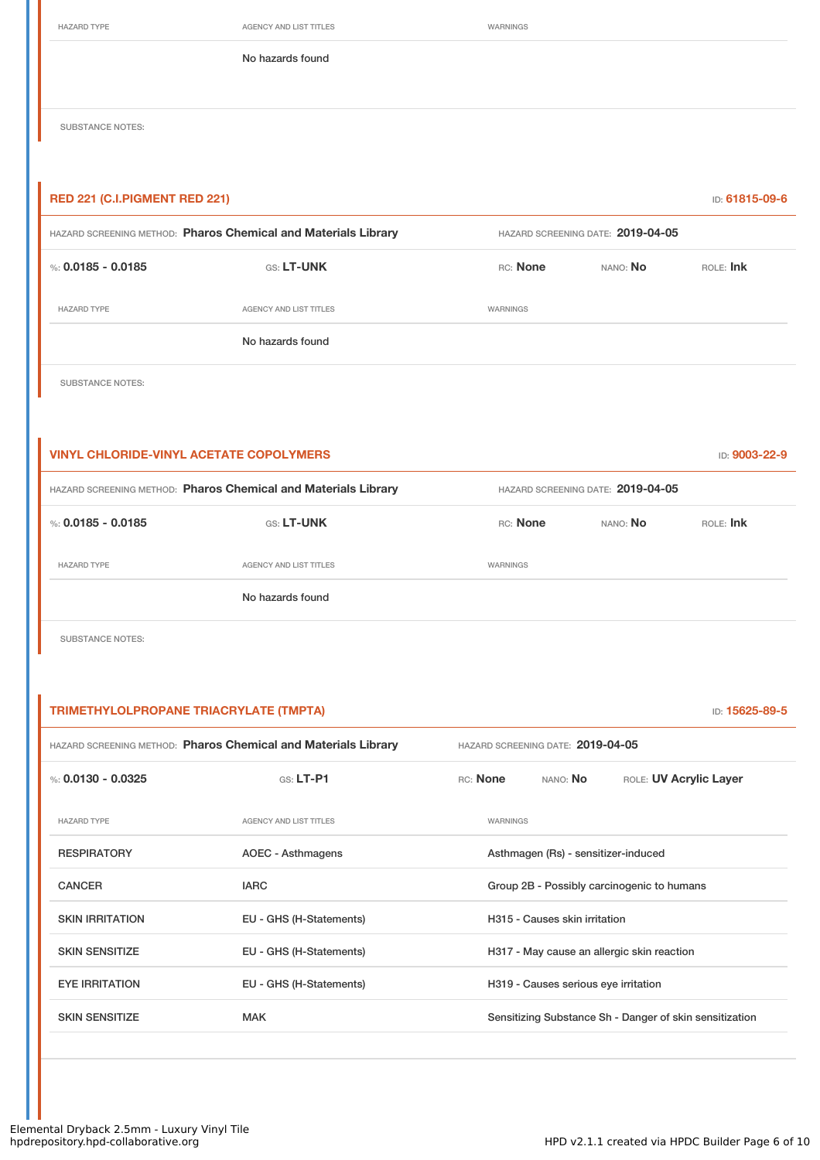HAZARD TYPE **AGENCY AND LIST TITLES** WARNINGS

No hazards found

SUBSTANCE NOTES:

| <b>RED 221 (C.I.PIGMENT RED 221)</b><br><b>ID: 61815-09-6</b>  |                               |                                   |                 |             |
|----------------------------------------------------------------|-------------------------------|-----------------------------------|-----------------|-------------|
| HAZARD SCREENING METHOD: Pharos Chemical and Materials Library |                               | HAZARD SCREENING DATE: 2019-04-05 |                 |             |
| %: $0.0185 - 0.0185$                                           | GS: LT-UNK                    | RC: None                          | NANO: <b>No</b> | $ROE$ : Ink |
| <b>HAZARD TYPE</b>                                             | <b>AGENCY AND LIST TITLES</b> | WARNINGS                          |                 |             |
|                                                                | No hazards found              |                                   |                 |             |
|                                                                |                               |                                   |                 |             |

SUBSTANCE NOTES:

| <b>VINYL CHLORIDE-VINYL ACETATE COPOLYMERS</b> |                                                                |          |                                   | ID: 9003-22-9 |
|------------------------------------------------|----------------------------------------------------------------|----------|-----------------------------------|---------------|
|                                                | HAZARD SCREENING METHOD: Pharos Chemical and Materials Library |          | HAZARD SCREENING DATE: 2019-04-05 |               |
| %: 0.0185 - 0.0185                             | <b>GS: LT-UNK</b>                                              | RC: None | NANO: No                          | $ROE$ : Ink   |
| <b>HAZARD TYPE</b>                             | AGENCY AND LIST TITLES                                         | WARNINGS |                                   |               |
|                                                | No hazards found                                               |          |                                   |               |

SUBSTANCE NOTES:

**TRIMETHYLOLPROPANE TRIACRYLATE (TMPTA)** ID: **15625-89-5** HAZARD SCREENING METHOD: **Pharos Chemical and Materials Library** HAZARD SCREENING DATE: **2019-04-05** %: **0.0130 - 0.0325** GS: **LT-P1** RC: **None** NANO: **No** ROLE: **UV Acrylic Layer** HAZARD TYPE AGENCY AND LIST TITLES WARNINGS RESPIRATORY **AOEC - Asthmagens** Asthmagen (Rs) - sensitizer-induced CANCER **IARC** IARC **GROUP 2B - Possibly carcinogenic to humans** SKIN IRRITATION **EU - GHS (H-Statements)** H315 - Causes skin irritation SKIN SENSITIZE **EU - GHS (H-Statements)** H317 - May cause an allergic skin reaction EYE IRRITATION EU - GHS (H-Statements) H319 - Causes serious eye irritation SKIN SENSITIZE **SENSITIZE** MAK MAK Sensitizing Substance Sh - Danger of skin sensitization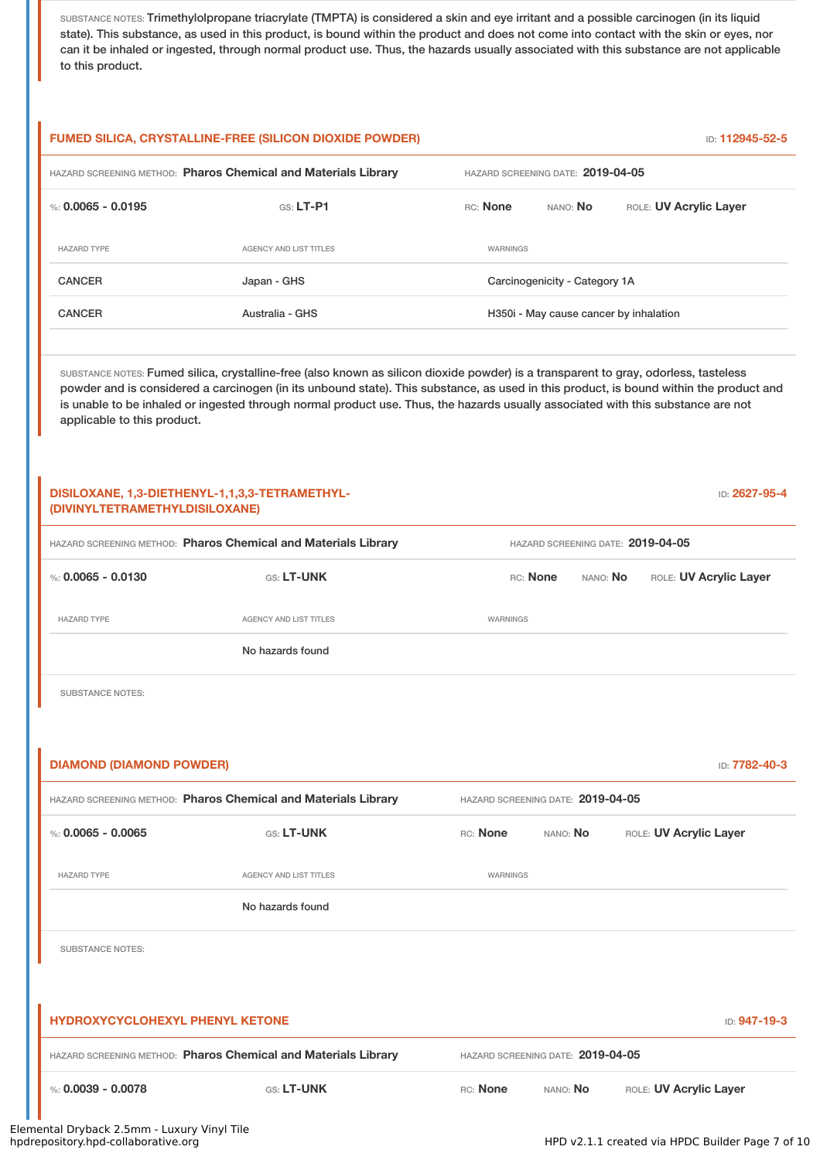SUBSTANCE NOTES: Trimethylolpropane triacrylate (TMPTA) is considered a skin and eye irritant and a possible carcinogen (in its liquid state). This substance, as used in this product, is bound within the product and does not come into contact with the skin or eyes, nor can it be inhaled or ingested, through normal product use. Thus, the hazards usually associated with this substance are not applicable to this product.

# **FUMED SILICA, CRYSTALLINE-FREE (SILICON DIOXIDE POWDER)** ID: **112945-52-5** HAZARD SCREENING METHOD: **Pharos Chemical and Materials Library** HAZARD SCREENING DATE: **2019-04-05** %: **0.0065 - 0.0195** GS: **LT-P1** RC: **None** NANO: **No** ROLE: **UV Acrylic Layer** HAZARD TYPE AGENCY AND LIST TITLES WARNINGS CANCER **CANCER** Japan - GHS **Japan - GHS** Carcinogenicity - Category 1A CANCER **Australia - GHS** Australia - GHS H350i - May cause cancer by inhalation SUBSTANCE NOTES: Fumed silica, crystalline-free (also known as silicon dioxide powder) is a transparent to gray, odorless, tasteless powder and is considered a carcinogen (in its unbound state). This substance, as used in this product, is bound within the product and is unable to be inhaled or ingested through normal product use. Thus, the hazards usually associated with this substance are not applicable to this product. **DISILOXANE, 1,3-DIETHENYL-1,1,3,3-TETRAMETHYL- (DIVINYLTETRAMETHYLDISILOXANE)** ID: **2627-95-4** HAZARD SCREENING METHOD: **Pharos Chemical and Materials Library** HAZARD SCREENING DATE: **2019-04-05** %: **0.0065 - 0.0130** GS: **LT-UNK** RC: **None** NANO: **No** ROLE: **UV Acrylic Layer** HAZARD TYPE **AGENCY AND LIST TITLES** WARNINGS No hazards found SUBSTANCE NOTES: **DIAMOND (DIAMOND POWDER)** ID: **7782-40-3** HAZARD SCREENING METHOD: **Pharos Chemical and Materials Library** HAZARD SCREENING DATE: **2019-04-05** %: **0.0065 - 0.0065** GS: LT-UNK RC: None NANO: No ROLE: UV Acrylic Layer HAZARD TYPE **AGENCY AND LIST TITLES AGENCY AND LIST TITLES** No hazards found SUBSTANCE NOTES: **HYDROXYCYCLOHEXYL PHENYL KETONE** ID: **947-19-3** HAZARD SCREENING METHOD: **Pharos Chemical and Materials Library** HAZARD SCREENING DATE: **2019-04-05** %: **0.0039 - 0.0078** GS: LT-UNK RC: None NANO: No ROLE: UV Acrylic Layer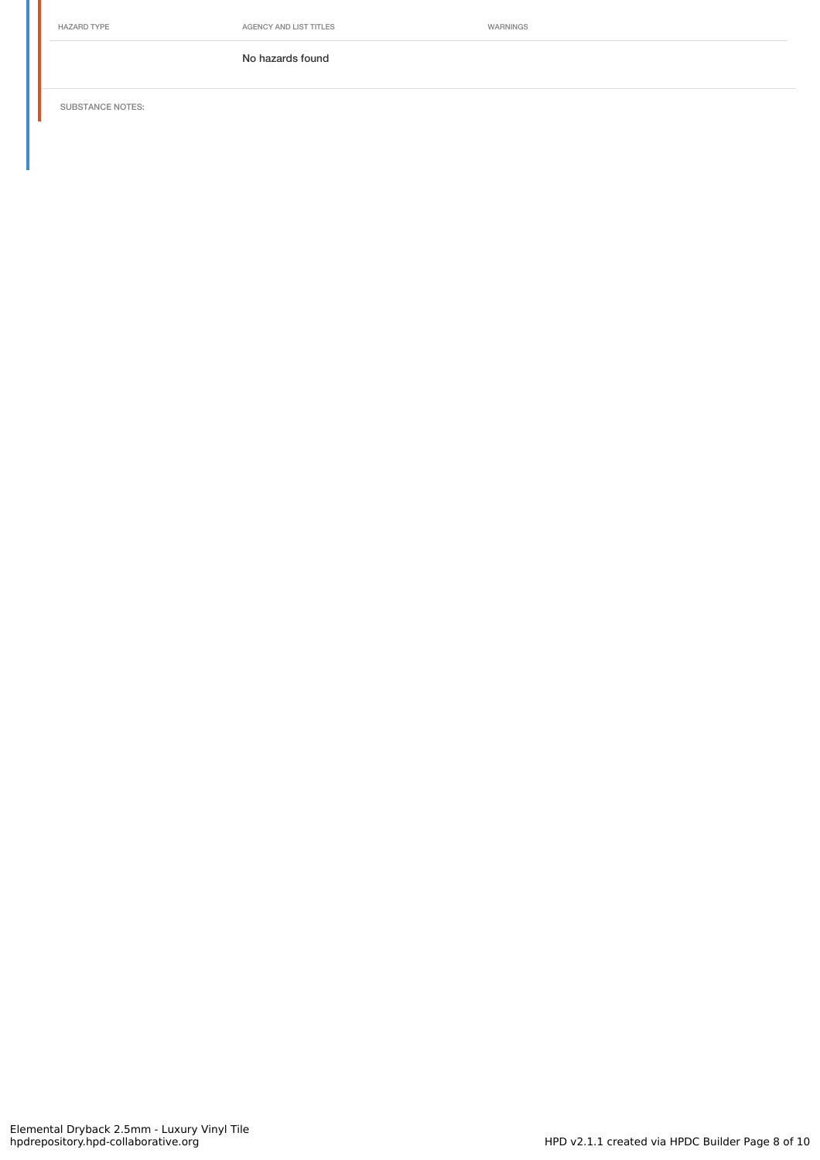No hazards found

SUBSTANCE NOTES: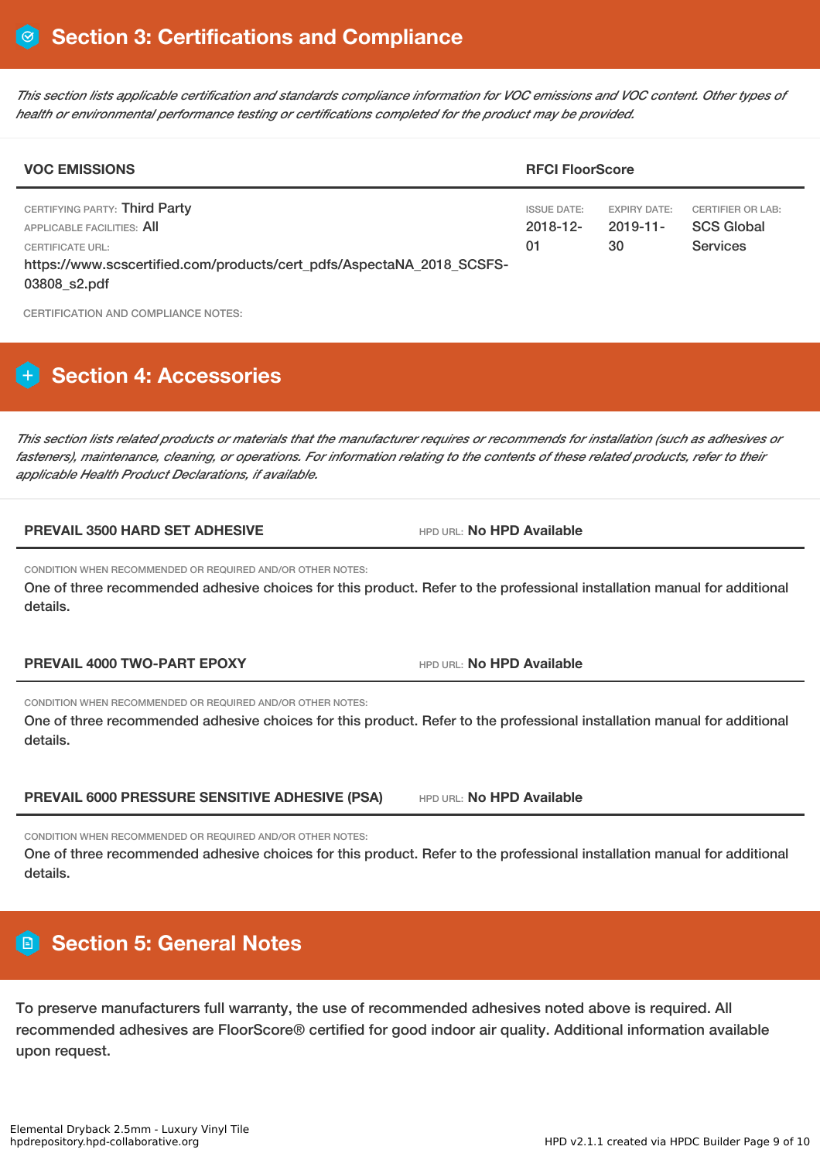This section lists applicable certification and standards compliance information for VOC emissions and VOC content. Other types of *health or environmental performance testing or certifications completed for the product may be provided.*

| <b>VOC EMISSIONS</b>                                                                                                                                     | <b>RFCI FloorScore</b>                  |                                          |                                                                  |  |
|----------------------------------------------------------------------------------------------------------------------------------------------------------|-----------------------------------------|------------------------------------------|------------------------------------------------------------------|--|
| CERTIFYING PARTY: Third Party<br>APPLICABLE FACILITIES: AII<br>CERTIFICATE URL:<br>https://www.scscertified.com/products/cert_pdfs/AspectaNA_2018_SCSFS- | <b>ISSUE DATE:</b><br>$2018 - 12$<br>01 | <b>EXPIRY DATE:</b><br>$2019 - 11$<br>30 | <b>CERTIFIER OR LAB:</b><br><b>SCS Global</b><br><b>Services</b> |  |
| 03808_s2.pdf                                                                                                                                             |                                         |                                          |                                                                  |  |

CERTIFICATION AND COMPLIANCE NOTES:

# **H** Section 4: Accessories

This section lists related products or materials that the manufacturer requires or recommends for installation (such as adhesives or fasteners), maintenance, cleaning, or operations. For information relating to the contents of these related products, refer to their *applicable Health Product Declarations, if available.*

#### **PREVAIL 3500 HARD SET ADHESIVE** HPD URL: **No HPD Available**

CONDITION WHEN RECOMMENDED OR REQUIRED AND/OR OTHER NOTES:

One of three recommended adhesive choices for this product. Refer to the professional installation manual for additional details.

**PREVAIL 4000 TWO-PART EPOXY** HPD URL: **No HPD Available**

CONDITION WHEN RECOMMENDED OR REQUIRED AND/OR OTHER NOTES:

One of three recommended adhesive choices for this product. Refer to the professional installation manual for additional details.

**PREVAIL 6000 PRESSURE SENSITIVE ADHESIVE (PSA)** HPD URL: **No HPD Available**

CONDITION WHEN RECOMMENDED OR REQUIRED AND/OR OTHER NOTES:

One of three recommended adhesive choices for this product. Refer to the professional installation manual for additional details.

# **Section 5: General Notes**

To preserve manufacturers full warranty, the use of recommended adhesives noted above is required. All recommended adhesives are FloorScore® certified for good indoor air quality. Additional information available upon request.